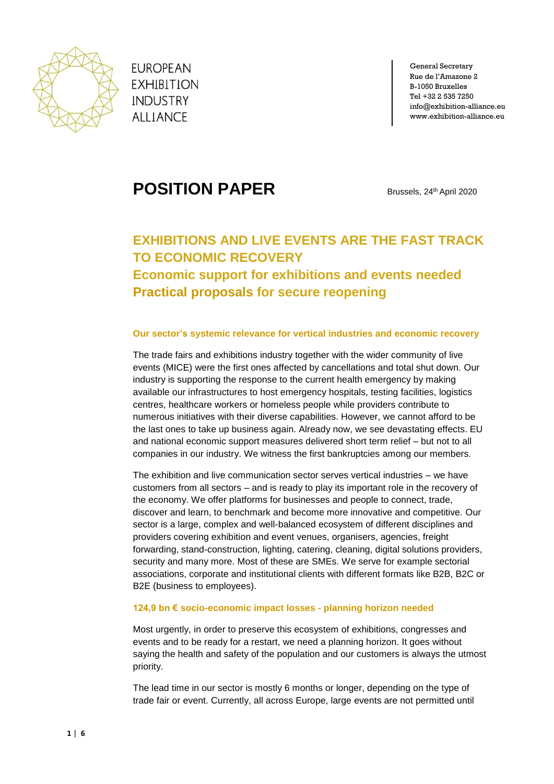

**EUROPEAN EXHIBITION INDUSTRY ALLIANCE** 

General Secretary Rue de l'Amazone 2 B-1050 Bruxelles Tel +32 2 535 7250 info@exhibition-alliance.eu www.exhibition-alliance.eu

# **POSITION PAPER** Brussels, 24<sup>th</sup> April 2020

# **EXHIBITIONS AND LIVE EVENTS ARE THE FAST TRACK TO ECONOMIC RECOVERY**

**Economic support for exhibitions and events needed Practical proposals for secure reopening**

# **Our sector's systemic relevance for vertical industries and economic recovery**

The trade fairs and exhibitions industry together with the wider community of live events (MICE) were the first ones affected by cancellations and total shut down. Our industry is supporting the response to the current health emergency by making available our infrastructures to host emergency hospitals, testing facilities, logistics centres, healthcare workers or homeless people while providers contribute to numerous initiatives with their diverse capabilities. However, we cannot afford to be the last ones to take up business again. Already now, we see devastating effects. EU and national economic support measures delivered short term relief – but not to all companies in our industry. We witness the first bankruptcies among our members.

The exhibition and live communication sector serves vertical industries – we have customers from all sectors – and is ready to play its important role in the recovery of the economy. We offer platforms for businesses and people to connect, trade, discover and learn, to benchmark and become more innovative and competitive. Our sector is a large, complex and well-balanced ecosystem of different disciplines and providers covering exhibition and event venues, organisers, agencies, freight forwarding, stand-construction, lighting, catering, cleaning, digital solutions providers, security and many more. Most of these are SMEs. We serve for example sectorial associations, corporate and institutional clients with different formats like B2B, B2C or B2E (business to employees).

# **124,9 bn € socio-economic impact losses - planning horizon needed**

Most urgently, in order to preserve this ecosystem of exhibitions, congresses and events and to be ready for a restart, we need a planning horizon. It goes without saying the health and safety of the population and our customers is always the utmost priority.

The lead time in our sector is mostly 6 months or longer, depending on the type of trade fair or event. Currently, all across Europe, large events are not permitted until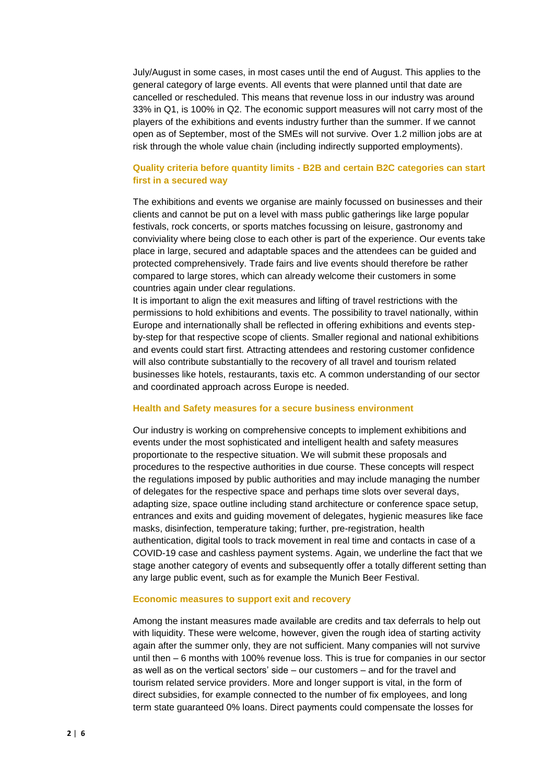July/August in some cases, in most cases until the end of August. This applies to the general category of large events. All events that were planned until that date are cancelled or rescheduled. This means that revenue loss in our industry was around 33% in Q1, is 100% in Q2. The economic support measures will not carry most of the players of the exhibitions and events industry further than the summer. If we cannot open as of September, most of the SMEs will not survive. Over 1.2 million jobs are at risk through the whole value chain (including indirectly supported employments).

# **Quality criteria before quantity limits - B2B and certain B2C categories can start first in a secured way**

The exhibitions and events we organise are mainly focussed on businesses and their clients and cannot be put on a level with mass public gatherings like large popular festivals, rock concerts, or sports matches focussing on leisure, gastronomy and conviviality where being close to each other is part of the experience. Our events take place in large, secured and adaptable spaces and the attendees can be guided and protected comprehensively. Trade fairs and live events should therefore be rather compared to large stores, which can already welcome their customers in some countries again under clear regulations.

It is important to align the exit measures and lifting of travel restrictions with the permissions to hold exhibitions and events. The possibility to travel nationally, within Europe and internationally shall be reflected in offering exhibitions and events stepby-step for that respective scope of clients. Smaller regional and national exhibitions and events could start first. Attracting attendees and restoring customer confidence will also contribute substantially to the recovery of all travel and tourism related businesses like hotels, restaurants, taxis etc. A common understanding of our sector and coordinated approach across Europe is needed.

#### **Health and Safety measures for a secure business environment**

Our industry is working on comprehensive concepts to implement exhibitions and events under the most sophisticated and intelligent health and safety measures proportionate to the respective situation. We will submit these proposals and procedures to the respective authorities in due course. These concepts will respect the regulations imposed by public authorities and may include managing the number of delegates for the respective space and perhaps time slots over several days, adapting size, space outline including stand architecture or conference space setup, entrances and exits and guiding movement of delegates, hygienic measures like face masks, disinfection, temperature taking; further, pre-registration, health authentication, digital tools to track movement in real time and contacts in case of a COVID-19 case and cashless payment systems. Again, we underline the fact that we stage another category of events and subsequently offer a totally different setting than any large public event, such as for example the Munich Beer Festival.

#### **Economic measures to support exit and recovery**

Among the instant measures made available are credits and tax deferrals to help out with liquidity. These were welcome, however, given the rough idea of starting activity again after the summer only, they are not sufficient. Many companies will not survive until then – 6 months with 100% revenue loss. This is true for companies in our sector as well as on the vertical sectors' side – our customers – and for the travel and tourism related service providers. More and longer support is vital, in the form of direct subsidies, for example connected to the number of fix employees, and long term state guaranteed 0% loans. Direct payments could compensate the losses for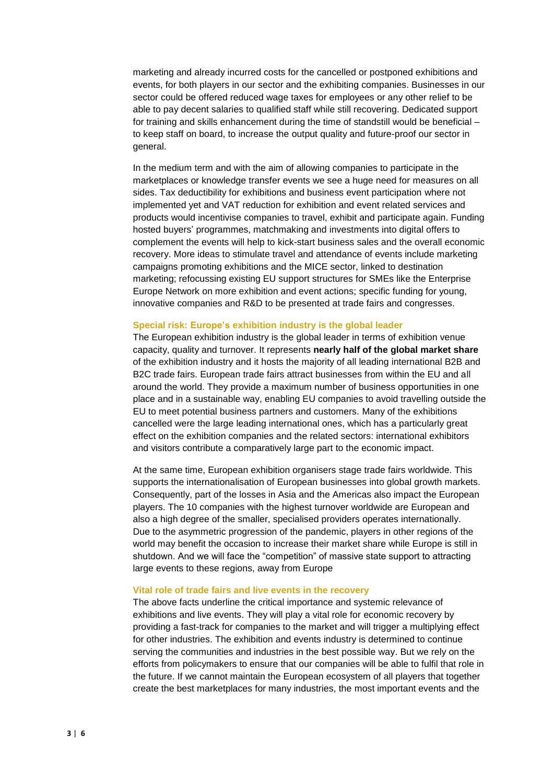marketing and already incurred costs for the cancelled or postponed exhibitions and events, for both players in our sector and the exhibiting companies. Businesses in our sector could be offered reduced wage taxes for employees or any other relief to be able to pay decent salaries to qualified staff while still recovering. Dedicated support for training and skills enhancement during the time of standstill would be beneficial – to keep staff on board, to increase the output quality and future-proof our sector in general.

In the medium term and with the aim of allowing companies to participate in the marketplaces or knowledge transfer events we see a huge need for measures on all sides. Tax deductibility for exhibitions and business event participation where not implemented yet and VAT reduction for exhibition and event related services and products would incentivise companies to travel, exhibit and participate again. Funding hosted buyers' programmes, matchmaking and investments into digital offers to complement the events will help to kick-start business sales and the overall economic recovery. More ideas to stimulate travel and attendance of events include marketing campaigns promoting exhibitions and the MICE sector, linked to destination marketing; refocussing existing EU support structures for SMEs like the Enterprise Europe Network on more exhibition and event actions; specific funding for young, innovative companies and R&D to be presented at trade fairs and congresses.

#### **Special risk: Europe's exhibition industry is the global leader**

The European exhibition industry is the global leader in terms of exhibition venue capacity, quality and turnover. It represents **nearly half of the global market share** of the exhibition industry and it hosts the majority of all leading international B2B and B2C trade fairs. European trade fairs attract businesses from within the EU and all around the world. They provide a maximum number of business opportunities in one place and in a sustainable way, enabling EU companies to avoid travelling outside the EU to meet potential business partners and customers. Many of the exhibitions cancelled were the large leading international ones, which has a particularly great effect on the exhibition companies and the related sectors: international exhibitors and visitors contribute a comparatively large part to the economic impact.

At the same time, European exhibition organisers stage trade fairs worldwide. This supports the internationalisation of European businesses into global growth markets. Consequently, part of the losses in Asia and the Americas also impact the European players. The 10 companies with the highest turnover worldwide are European and also a high degree of the smaller, specialised providers operates internationally. Due to the asymmetric progression of the pandemic, players in other regions of the world may benefit the occasion to increase their market share while Europe is still in shutdown. And we will face the "competition" of massive state support to attracting large events to these regions, away from Europe

#### **Vital role of trade fairs and live events in the recovery**

The above facts underline the critical importance and systemic relevance of exhibitions and live events. They will play a vital role for economic recovery by providing a fast-track for companies to the market and will trigger a multiplying effect for other industries. The exhibition and events industry is determined to continue serving the communities and industries in the best possible way. But we rely on the efforts from policymakers to ensure that our companies will be able to fulfil that role in the future. If we cannot maintain the European ecosystem of all players that together create the best marketplaces for many industries, the most important events and the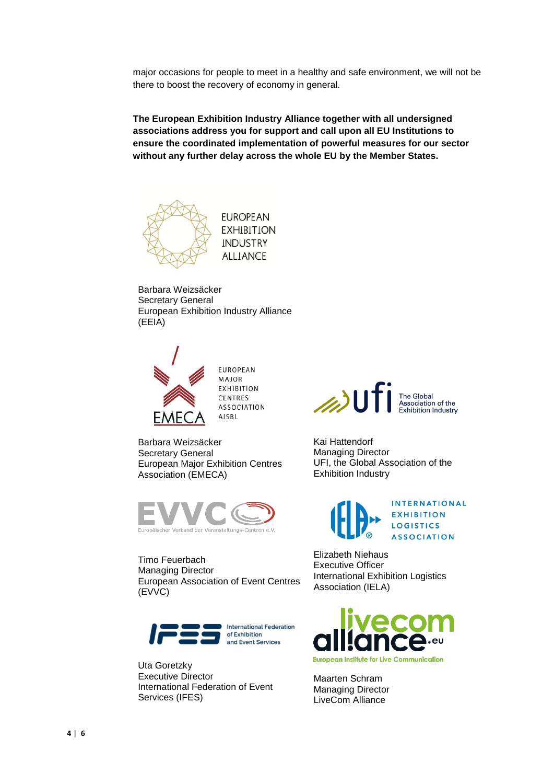major occasions for people to meet in a healthy and safe environment, we will not be there to boost the recovery of economy in general.

**The European Exhibition Industry Alliance together with all undersigned associations address you for support and call upon all EU Institutions to ensure the coordinated implementation of powerful measures for our sector without any further delay across the whole EU by the Member States.**



**EUROPEAN EXHIBITION INDUSTRY ALLIANCE** 

Barbara Weizsäcker Secretary General European Exhibition Industry Alliance (EEIA)



**EUROPEAN** MAJOR **EXHIBITION** CENTRES **ASSOCIATION** AISBL

Barbara Weizsäcker Secretary General European Major Exhibition Centres Association (EMECA)



Timo Feuerbach Managing Director European Association of Event Centres (EVVC)



Uta Goretzky Executive Director International Federation of Event Services (IFES)



Kai Hattendorf Managing Director UFI, the Global Association of the Exhibition Industry



Elizabeth Niehaus Executive Officer International Exhibition Logistics Association (IELA)



Maarten Schram Managing Director LiveCom Alliance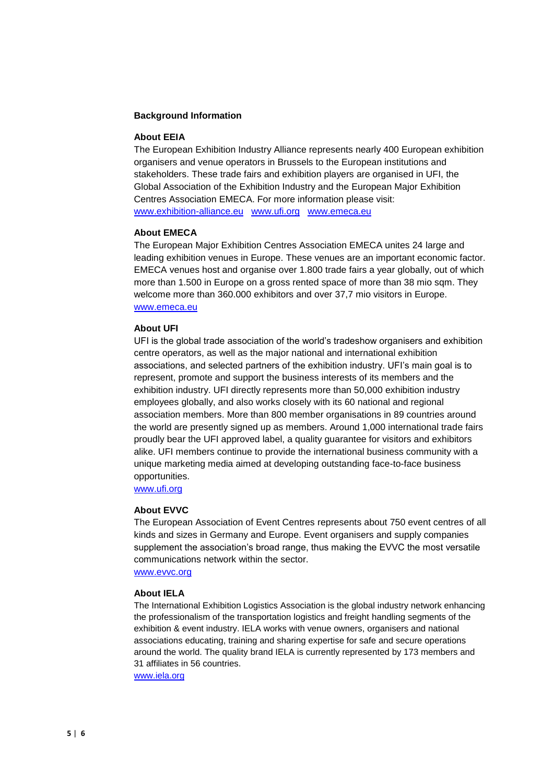#### **Background Information**

# **About EEIA**

The European Exhibition Industry Alliance represents nearly 400 European exhibition organisers and venue operators in Brussels to the European institutions and stakeholders. These trade fairs and exhibition players are organised in UFI, the Global Association of the Exhibition Industry and the European Major Exhibition Centres Association EMECA. For more information please visit: [www.exhibition-alliance.eu](http://www.exhibition-alliance.eu/) [www.ufi.org](http://www.ufi.org/) [www.emeca.eu](http://www.emeca.eu/)

#### **About EMECA**

The European Major Exhibition Centres Association EMECA unites 24 large and leading exhibition venues in Europe. These venues are an important economic factor. EMECA venues host and organise over 1.800 trade fairs a year globally, out of which more than 1.500 in Europe on a gross rented space of more than 38 mio sqm. They welcome more than 360.000 exhibitors and over 37,7 mio visitors in Europe. [www.emeca.eu](http://www.emeca.eu/)

#### **About UFI**

UFI is the global trade association of the world's tradeshow organisers and exhibition centre operators, as well as the major national and international exhibition associations, and selected partners of the exhibition industry. UFI's main goal is to represent, promote and support the business interests of its members and the exhibition industry. UFI directly represents more than 50,000 exhibition industry employees globally, and also works closely with its 60 national and regional association members. More than 800 member organisations in 89 countries around the world are presently signed up as members. Around 1,000 international trade fairs proudly bear the UFI approved label, a quality guarantee for visitors and exhibitors alike. UFI members continue to provide the international business community with a unique marketing media aimed at developing outstanding face-to-face business opportunities.

[www.ufi.org](http://www.ufi.org/)

#### **About EVVC**

The European Association of Event Centres represents about 750 event centres of all kinds and sizes in Germany and Europe. Event organisers and supply companies supplement the association's broad range, thus making the EVVC the most versatile communications network within the sector.

[www.evvc.org](http://www.evvc.org/)

#### **About IELA**

The International Exhibition Logistics Association is the global industry network enhancing the professionalism of the transportation logistics and freight handling segments of the exhibition & event industry. IELA works with venue owners, organisers and national associations educating, training and sharing expertise for safe and secure operations around the world. The quality brand IELA is currently represented by 173 members and 31 affiliates in 56 countries.

[www.iela.org](http://www.iela.org/)